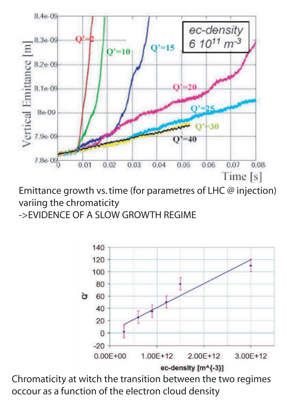

Emittance growth vs. time (for parametres of LHC @ injection) variing the chromaticity

->EVIDENCE OF A SLOW GROWTH REGIME



Chromaticity at witch the transition between the two regimes occour as a function of the electron cloud density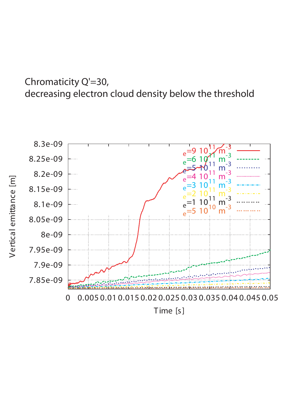## Chromaticity Q'=30, decreasing electron cloud density below the threshold

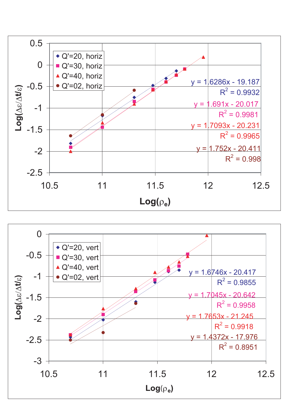